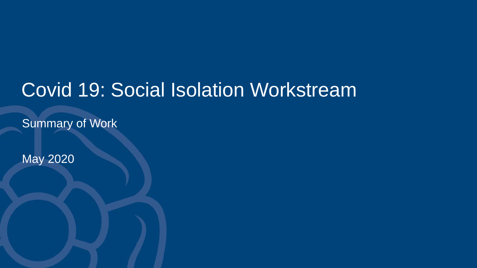# Covid 19: Social Isolation Workstream

Summary of Work

May 2020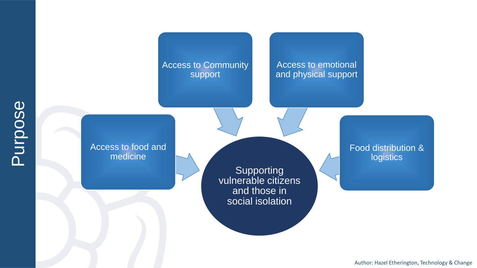

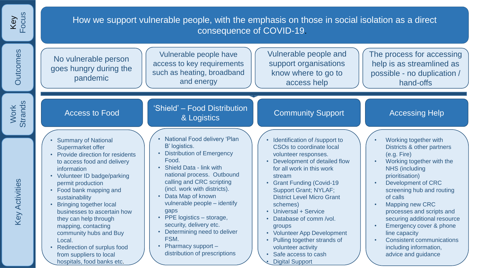| Focus<br>Key           | How we support vulnerable people, with the emphasis on those in social isolation as a direct<br>consequence of COVID-19.                                                                                                                                                                                                                                                                                                                                                                                                                                                                                                                                                                                                                                                                                                                                                                                                                                                                                                                                                                                                                                                                                                                                                                                                                                                                                                                                                                                                                                                                                                                                                                                                                                                                                                                                                |
|------------------------|-------------------------------------------------------------------------------------------------------------------------------------------------------------------------------------------------------------------------------------------------------------------------------------------------------------------------------------------------------------------------------------------------------------------------------------------------------------------------------------------------------------------------------------------------------------------------------------------------------------------------------------------------------------------------------------------------------------------------------------------------------------------------------------------------------------------------------------------------------------------------------------------------------------------------------------------------------------------------------------------------------------------------------------------------------------------------------------------------------------------------------------------------------------------------------------------------------------------------------------------------------------------------------------------------------------------------------------------------------------------------------------------------------------------------------------------------------------------------------------------------------------------------------------------------------------------------------------------------------------------------------------------------------------------------------------------------------------------------------------------------------------------------------------------------------------------------------------------------------------------------|
| <b>Outcomes</b>        | Vulnerable people and<br>The process for accessing<br>Vulnerable people have<br>No vulnerable person<br>access to key requirements<br>support organisations<br>help is as streamlined as<br>goes hungry during the<br>such as heating, broadband<br>know where to go to<br>possible - no duplication /<br>pandemic<br>and energy<br>access help<br>hand-offs                                                                                                                                                                                                                                                                                                                                                                                                                                                                                                                                                                                                                                                                                                                                                                                                                                                                                                                                                                                                                                                                                                                                                                                                                                                                                                                                                                                                                                                                                                            |
| <b>Strands</b><br>Work | 'Shield' - Food Distribution<br><b>Community Support</b><br><b>Accessing Help</b><br><b>Access to Food</b><br>& Logistics                                                                                                                                                                                                                                                                                                                                                                                                                                                                                                                                                                                                                                                                                                                                                                                                                                                                                                                                                                                                                                                                                                                                                                                                                                                                                                                                                                                                                                                                                                                                                                                                                                                                                                                                               |
| <b>Key Activities</b>  | <b>National Food delivery 'Plan</b><br>• Identification of /support to<br>Working together with<br><b>Summary of National</b><br>B' logistics.<br><b>CSOs to coordinate local</b><br>Supermarket offer<br>Districts & other partners<br>• Distribution of Emergency<br>Provide direction for residents<br>(e.g. Fire)<br>volunteer responses.<br>Food.<br>• Development of detailed flow<br>Working together with the<br>to access food and delivery<br>• Shield Data - link with<br>for all work in this work<br><b>NHS</b> (including<br>information<br>national process. Outbound<br>• Volunteer ID badge/parking<br>prioritisation)<br>stream<br>calling and CRC scripting<br>• Grant Funding (Covid-19<br>Development of CRC<br>permit production<br>(incl. work with districts).<br><b>Support Grant; NYLAF;</b><br>• Food bank mapping and<br>screening hub and routing<br>• Data Map of known<br><b>District Level Micro Grant</b><br>of calls<br>sustainability<br>vulnerable people - identify<br><b>Mapping new CRC</b><br><b>Bringing together local</b><br>schemes)<br>gaps<br>• Universal + Service<br>processes and scripts and<br>businesses to ascertain how<br>• PPE logistics - storage,<br>Database of comm /vol.<br>securing additional resource<br>they can help through<br>security, delivery etc.<br>Emergency cover & phone<br>mapping, contacting<br>groups<br>Determining need to deliver<br>• Volunteer App Development<br>community hubs and Buy<br>line capacity<br>FSM.<br>• Pulling together strands of<br><b>Consistent communications</b><br>Local.<br>• Pharmacy support -<br><b>Redirection of surplus food</b><br>volunteer activity<br>including information,<br>distribution of prescriptions<br>• Safe access to cash<br>advice and guidance<br>from suppliers to local<br>hospitals, food banks etc.<br><b>Digital Support</b> |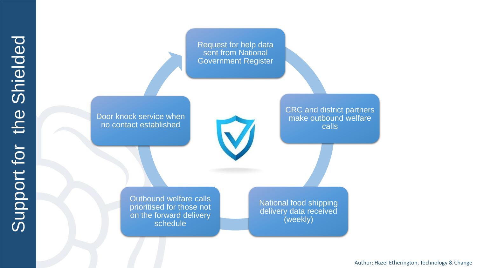Request for help data sent from National Government Register

Door knock service when no contact established

CRC and district partners make outbound welfare calls

Outbound welfare calls prioritised for those not on the forward delivery schedule

National food shipping delivery data received (weekly)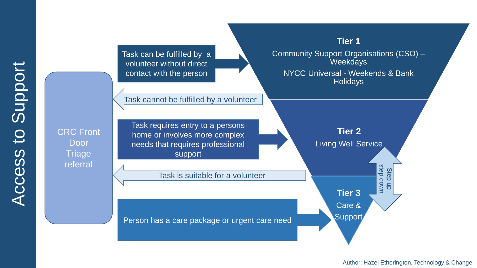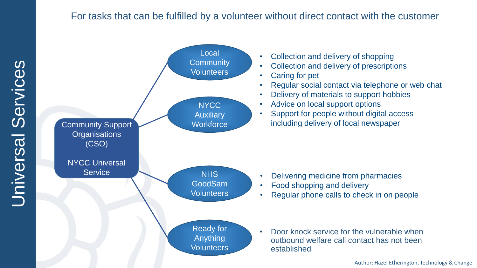### For tasks that can be fulfilled by a volunteer without direct contact with the customer

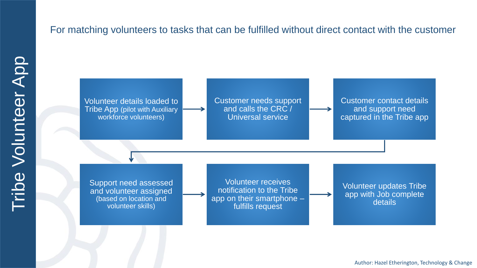## For matching volunteers to tasks that can be fulfilled without direct contact with the customer

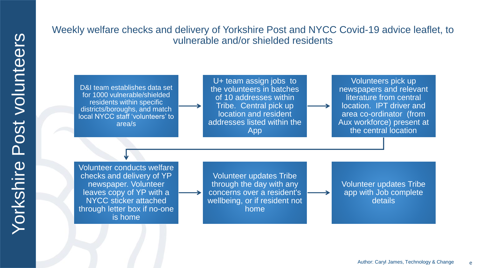### Weekly welfare checks and delivery of Yorkshire Post and NYCC Covid-19 advice leaflet, to vulnerable and/or shielded residents

D&I team establishes data set for 1000 vulnerable/shielded residents within specific districts/boroughs, and match local NYCC staff 'volunteers' to area/s

U+ team assign jobs to the volunteers in batches of 10 addresses within Tribe. Central pick up location and resident addresses listed within the App

Volunteers pick up newspapers and relevant literature from central location. IPT driver and area co-ordinator (from Aux workforce) present at the central location

Volunteer conducts welfare checks and delivery of YP newspaper. Volunteer leaves copy of YP with a NYCC sticker attached through letter box if no-one is home

Volunteer updates Tribe through the day with any concerns over a resident's wellbeing, or if resident not home

Volunteer updates Tribe app with Job complete details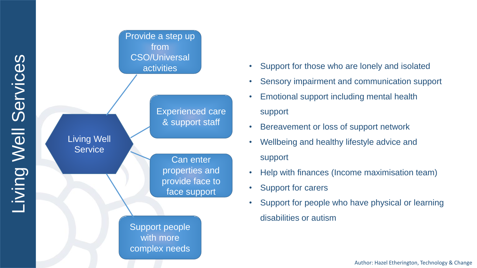

- Support for those who are lonely and isolated
- Sensory impairment and communication support
- Emotional support including mental health support
- Bereavement or loss of support network
- Wellbeing and healthy lifestyle advice and support
- Help with finances (Income maximisation team)
- Support for carers
- Support for people who have physical or learning disabilities or autism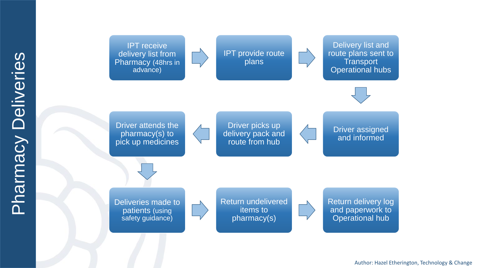

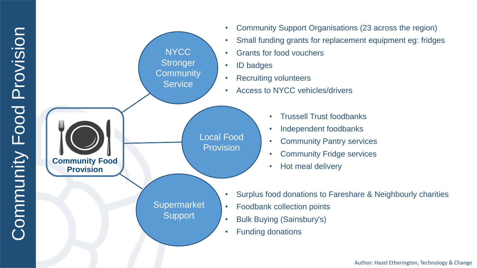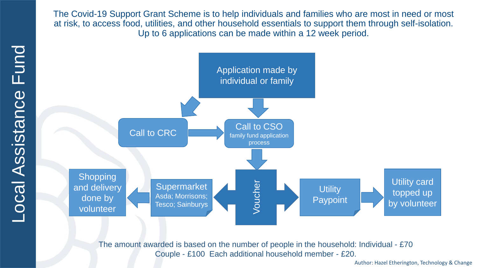The Covid-19 Support Grant Scheme is to help individuals and families who are most in need or most at risk, to access food, utilities, and other household essentials to support them through self-isolation. Up to 6 applications can be made within a 12 week period.



The amount awarded is based on the number of people in the household: Individual - £70 Couple - £100 Each additional household member - £20.

Fund Local Assistance Fund Local Assistance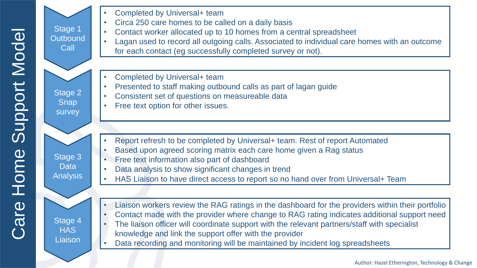